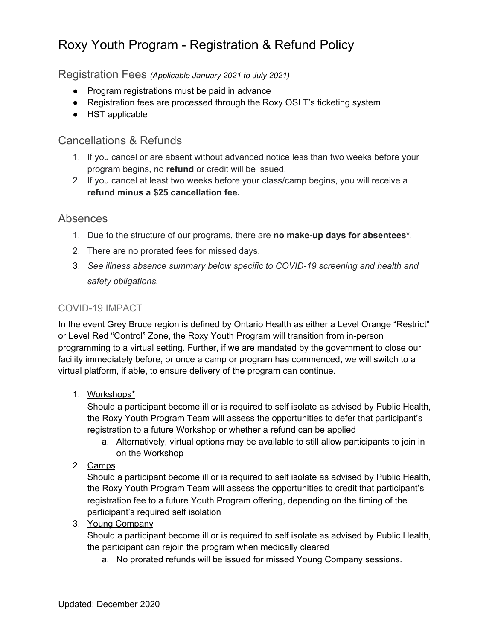# Roxy Youth Program - Registration & Refund Policy

Registration Fees *(Applicable January 2021 to July 2021)*

- Program registrations must be paid in advance
- Registration fees are processed through the Roxy OSLT's ticketing system
- HST applicable

## Cancellations & Refunds

- 1. If you cancel or are absent without advanced notice less than two weeks before your program begins, no **refund** or credit will be issued.
- 2. If you cancel at least two weeks before your class/camp begins, you will receive a **refund minus a \$25 cancellation fee.**

### Absences

- 1. Due to the structure of our programs, there are **no make-up days for absentees\***.
- 2. There are no prorated fees for missed days.
- 3. *See illness absence summary below specific to COVID-19 screening and health and safety obligations.*

### COVID-19 IMPACT

In the event Grey Bruce region is defined by Ontario Health as either a Level Orange "Restrict" or Level Red "Control" Zone, the Roxy Youth Program will transition from in-person programming to a virtual setting. Further, if we are mandated by the government to close our facility immediately before, or once a camp or program has commenced, we will switch to a virtual platform, if able, to ensure delivery of the program can continue.

1. Workshops\*

Should a participant become ill or is required to self isolate as advised by Public Health, the Roxy Youth Program Team will assess the opportunities to defer that participant's registration to a future Workshop or whether a refund can be applied

- a. Alternatively, virtual options may be available to still allow participants to join in on the Workshop
- 2. Camps

Should a participant become ill or is required to self isolate as advised by Public Health, the Roxy Youth Program Team will assess the opportunities to credit that participant's registration fee to a future Youth Program offering, depending on the timing of the participant's required self isolation

#### 3. Young Company

Should a participant become ill or is required to self isolate as advised by Public Health, the participant can rejoin the program when medically cleared

a. No prorated refunds will be issued for missed Young Company sessions.